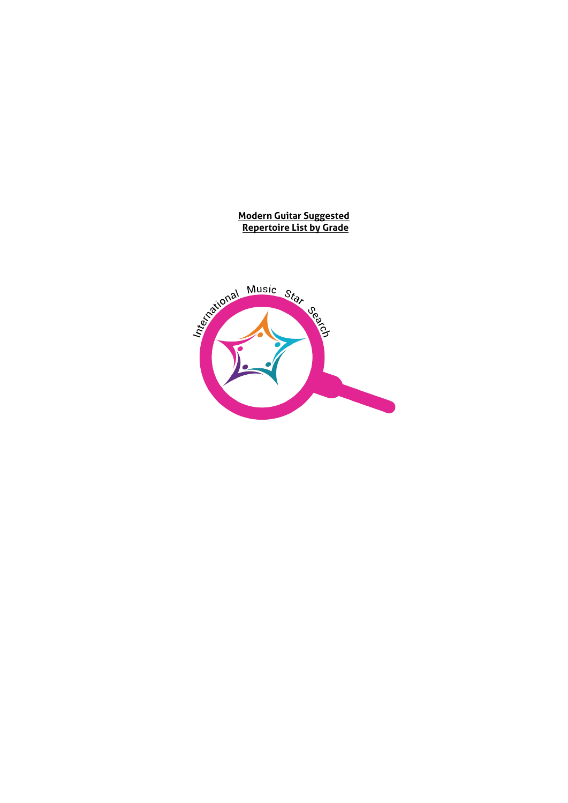#### **Modern Guitar Suggested Repertoire List by Grade**

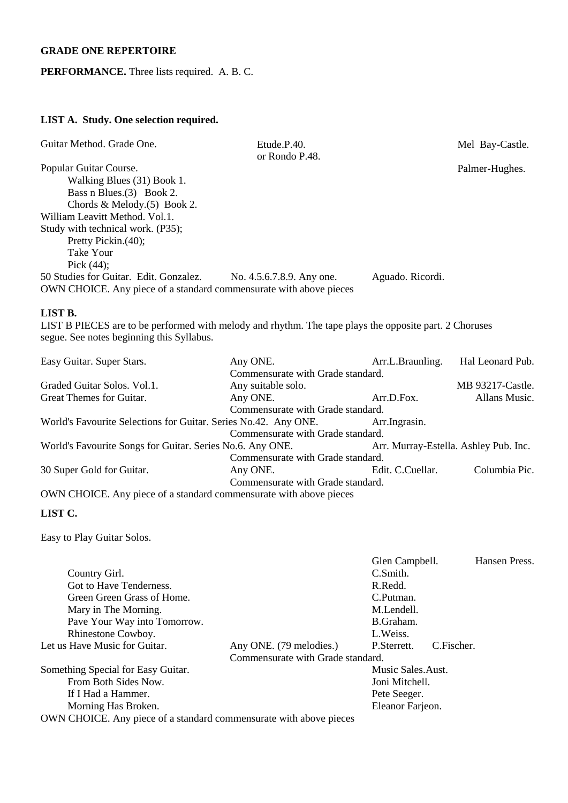### **GRADE ONE REPERTOIRE**

### **PERFORMANCE.** Three lists required. A. B. C.

## **LIST A. Study. One selection required.**

| Guitar Method. Grade One.                                                                                                                           | Etude.P.40.<br>or Rondo P.48.     |                  | Mel Bay-Castle.  |
|-----------------------------------------------------------------------------------------------------------------------------------------------------|-----------------------------------|------------------|------------------|
| Popular Guitar Course.                                                                                                                              |                                   |                  | Palmer-Hughes.   |
| Walking Blues (31) Book 1.                                                                                                                          |                                   |                  |                  |
| Bass n Blues. (3) Book 2.                                                                                                                           |                                   |                  |                  |
| Chords & Melody. $(5)$ Book 2.                                                                                                                      |                                   |                  |                  |
| William Leavitt Method. Vol.1.                                                                                                                      |                                   |                  |                  |
| Study with technical work. (P35);                                                                                                                   |                                   |                  |                  |
| Pretty Pickin.(40);                                                                                                                                 |                                   |                  |                  |
| Take Your                                                                                                                                           |                                   |                  |                  |
| Pick $(44)$ ;                                                                                                                                       |                                   |                  |                  |
| 50 Studies for Guitar. Edit. Gonzalez.                                                                                                              | No. 4.5.6.7.8.9. Any one.         | Aguado. Ricordi. |                  |
| OWN CHOICE. Any piece of a standard commensurate with above pieces                                                                                  |                                   |                  |                  |
| LIST B.                                                                                                                                             |                                   |                  |                  |
| LIST B PIECES are to be performed with melody and rhythm. The tape plays the opposite part. 2 Choruses<br>segue. See notes beginning this Syllabus. |                                   |                  |                  |
| Easy Guitar. Super Stars.                                                                                                                           | Any ONE.                          | Arr.L.Braunling. | Hal Leonard Pub. |
|                                                                                                                                                     | Commensurate with Grade standard. |                  |                  |
| Graded Guitar Solos. Vol.1.                                                                                                                         | Any suitable solo.                |                  | MB 93217-Castle. |
| Great Themes for Guitar.                                                                                                                            | Any ONE.                          | Arr.D.Fox.       | Allans Music.    |

Commensurate with Grade standard. World's Favourite Selections for Guitar. Series No.42. Any ONE. Arr.Ingrasin. Commensurate with Grade standard.

| World's Favourite Songs for Guitar. Series No.6. Any ONE. |                                   | Arr. Murray-Estella. Ashley Pub. Inc. |               |
|-----------------------------------------------------------|-----------------------------------|---------------------------------------|---------------|
|                                                           | Commensurate with Grade standard. |                                       |               |
| 30 Super Gold for Guitar.                                 | Any ONE.                          | Edit. C.Cuellar.                      | Columbia Pic. |
|                                                           | Commensurate with Grade standard. |                                       |               |

OWN CHOICE. Any piece of a standard commensurate with above pieces

#### **LIST C.**

Easy to Play Guitar Solos.

|                                                                   |                                   | Glen Campbell.    | Hansen Press. |
|-------------------------------------------------------------------|-----------------------------------|-------------------|---------------|
| Country Girl.                                                     |                                   | C.Smith.          |               |
| Got to Have Tenderness.                                           |                                   | R.Redd.           |               |
| Green Green Grass of Home.                                        |                                   | C.Putman.         |               |
| Mary in The Morning.                                              |                                   | M.Lendell.        |               |
| Pave Your Way into Tomorrow.                                      |                                   | B.Graham.         |               |
| Rhinestone Cowboy.                                                |                                   | L. Weiss.         |               |
| Let us Have Music for Guitar.                                     | Any ONE. (79 melodies.)           | P.Sterrett.       | C.Fischer.    |
|                                                                   | Commensurate with Grade standard. |                   |               |
| Something Special for Easy Guitar.                                |                                   | Music Sales.Aust. |               |
| From Both Sides Now.                                              |                                   | Joni Mitchell.    |               |
| If I Had a Hammer.                                                |                                   | Pete Seeger.      |               |
| Morning Has Broken.                                               |                                   | Eleanor Farjeon.  |               |
| OWN CHOICE Any piece of a standard commensurate with above pieces |                                   |                   |               |

OWN CHOICE. Any piece of a standard commensurate with above pieces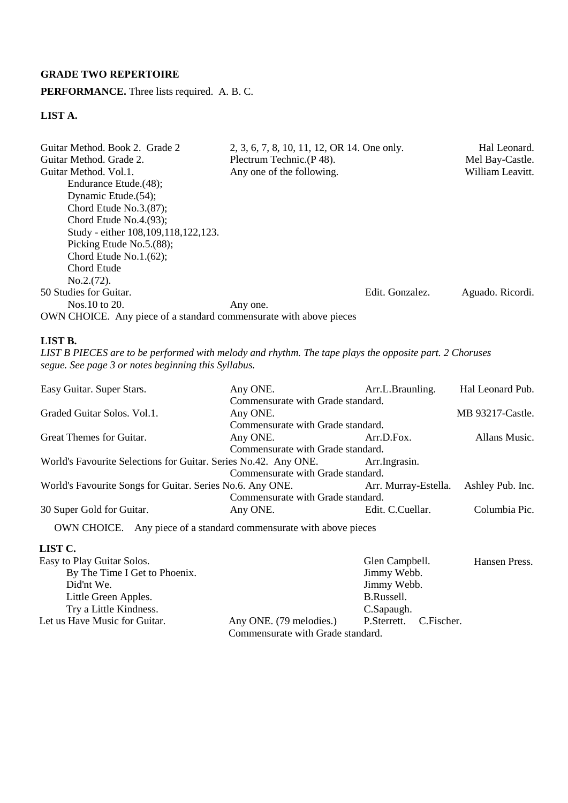## **GRADE TWO REPERTOIRE**

#### **PERFORMANCE.** Three lists required. A. B. C.

## **LIST A.**

| Guitar Method. Book 2. Grade 2<br>Guitar Method. Grade 2.          | 2, 3, 6, 7, 8, 10, 11, 12, OR 14. One only.<br>Plectrum Technic. (P 48). |                 | Hal Leonard.<br>Mel Bay-Castle. |
|--------------------------------------------------------------------|--------------------------------------------------------------------------|-----------------|---------------------------------|
| Guitar Method. Vol.1.                                              | Any one of the following.                                                |                 | William Leavitt.                |
| Endurance Etude.(48);                                              |                                                                          |                 |                                 |
| Dynamic Etude. (54);                                               |                                                                          |                 |                                 |
| Chord Etude No. $3(87)$ ;                                          |                                                                          |                 |                                 |
| Chord Etude No.4. $(93)$ ;                                         |                                                                          |                 |                                 |
| Study - either 108, 109, 118, 122, 123.                            |                                                                          |                 |                                 |
| Picking Etude No.5.(88);                                           |                                                                          |                 |                                 |
| Chord Etude No.1. $(62)$ ;                                         |                                                                          |                 |                                 |
| Chord Etude                                                        |                                                                          |                 |                                 |
| No.2.(72).                                                         |                                                                          |                 |                                 |
| 50 Studies for Guitar.                                             |                                                                          | Edit. Gonzalez. | Aguado. Ricordi.                |
| Nos. 10 to 20.                                                     | Any one.                                                                 |                 |                                 |
| OWN CHOICE. Any piece of a standard commensurate with above pieces |                                                                          |                 |                                 |

#### **LIST B.**

*LIST B PIECES are to be performed with melody and rhythm. The tape plays the opposite part. 2 Choruses segue. See page 3 or notes beginning this Syllabus.* 

| Easy Guitar. Super Stars.                                          | Any ONE.                          | Arr.L.Braunling.     | Hal Leonard Pub. |
|--------------------------------------------------------------------|-----------------------------------|----------------------|------------------|
|                                                                    | Commensurate with Grade standard. |                      |                  |
| Graded Guitar Solos. Vol.1.                                        | Any ONE.                          |                      | MB 93217-Castle. |
|                                                                    | Commensurate with Grade standard. |                      |                  |
| Great Themes for Guitar.                                           | Any ONE.                          | Arr.D.Fox.           | Allans Music.    |
|                                                                    | Commensurate with Grade standard. |                      |                  |
| World's Favourite Selections for Guitar. Series No.42. Any ONE.    |                                   | Arr. Ingrasin.       |                  |
|                                                                    | Commensurate with Grade standard. |                      |                  |
| World's Favourite Songs for Guitar. Series No.6. Any ONE.          |                                   | Arr. Murray-Estella. | Ashley Pub. Inc. |
|                                                                    | Commensurate with Grade standard. |                      |                  |
| 30 Super Gold for Guitar.                                          | Any ONE.                          | Edit. C.Cuellar.     | Columbia Pic.    |
| OWN CHOICE. Any piece of a standard commensurate with above pieces |                                   |                      |                  |

| Easy to Play Guitar Solos.    |                                   | Glen Campbell.         | Hansen Press. |
|-------------------------------|-----------------------------------|------------------------|---------------|
| By The Time I Get to Phoenix. |                                   | Jimmy Webb.            |               |
| Did'nt We.                    |                                   | Jimmy Webb.            |               |
| Little Green Apples.          |                                   | B.Russell.             |               |
| Try a Little Kindness.        |                                   | C.Sapaugh.             |               |
| Let us Have Music for Guitar. | Any ONE. (79 melodies.)           | P.Sterrett. C.Fischer. |               |
|                               | Commensurate with Grade standard. |                        |               |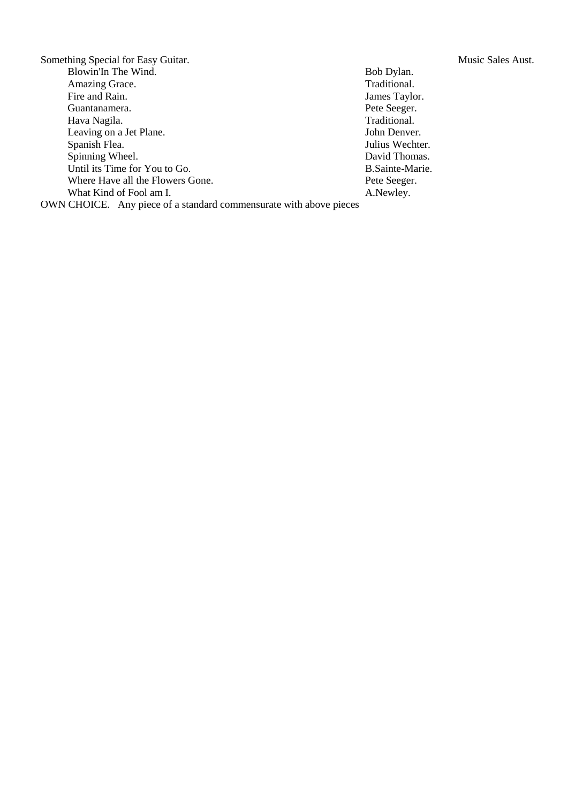Something Special for Easy Guitar. Music Sales Aust.<br>Blowin'In The Wind. Bob Dylan. Music Sales Aust. Blowin'In The Wind. Amazing Grace. Traditional.<br>
Fire and Rain. James Taylo Guantanamera. Pete Seeger.<br>Hava Nagila. Traditional. Traditional. Hava Nagila. Leaving on a Jet Plane. John Denver. Spanish Flea. Julius Wechter. Spinning Wheel. David Thomas. Until its Time for You to Go. B.Sainte-Marie. Where Have all the Flowers Gone. Pete Seeger. What Kind of Fool am I. A.Newley. OWN CHOICE. Any piece of a standard commensurate with above pieces

James Taylor.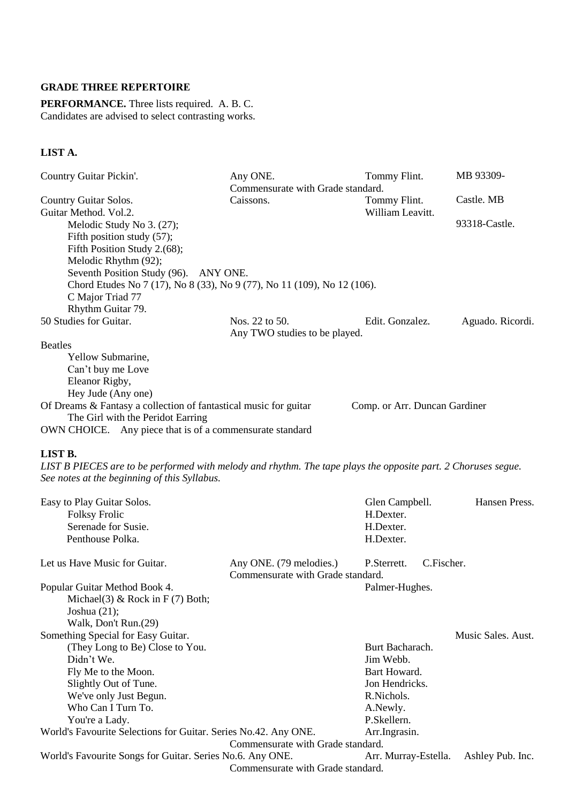#### **GRADE THREE REPERTOIRE**

**PERFORMANCE.** Three lists required. A. B. C. Candidates are advised to select contrasting works.

## **LIST A.**

| Country Guitar Pickin'.                                                                                       | Any ONE.                          | Tommy Flint.                  | MB 93309-          |
|---------------------------------------------------------------------------------------------------------------|-----------------------------------|-------------------------------|--------------------|
|                                                                                                               | Commensurate with Grade standard. |                               |                    |
| Country Guitar Solos.                                                                                         | Caissons.                         | Tommy Flint.                  | Castle. MB         |
| Guitar Method. Vol.2.                                                                                         |                                   | William Leavitt.              |                    |
| Melodic Study No 3. (27);                                                                                     |                                   |                               | 93318-Castle.      |
| Fifth position study (57);                                                                                    |                                   |                               |                    |
| Fifth Position Study 2.(68);                                                                                  |                                   |                               |                    |
| Melodic Rhythm (92);                                                                                          |                                   |                               |                    |
| Seventh Position Study (96). ANY ONE.                                                                         |                                   |                               |                    |
| Chord Etudes No 7 (17), No 8 (33), No 9 (77), No 11 (109), No 12 (106).                                       |                                   |                               |                    |
| C Major Triad 77                                                                                              |                                   |                               |                    |
| Rhythm Guitar 79.                                                                                             |                                   |                               |                    |
| 50 Studies for Guitar.                                                                                        | Nos. 22 to 50.                    | Edit. Gonzalez.               | Aguado. Ricordi.   |
|                                                                                                               | Any TWO studies to be played.     |                               |                    |
| <b>Beatles</b>                                                                                                |                                   |                               |                    |
| Yellow Submarine,                                                                                             |                                   |                               |                    |
| Can't buy me Love                                                                                             |                                   |                               |                    |
| Eleanor Rigby,                                                                                                |                                   |                               |                    |
| Hey Jude (Any one)                                                                                            |                                   |                               |                    |
| Of Dreams & Fantasy a collection of fantastical music for guitar                                              |                                   | Comp. or Arr. Duncan Gardiner |                    |
| The Girl with the Peridot Earring                                                                             |                                   |                               |                    |
| OWN CHOICE. Any piece that is of a commensurate standard                                                      |                                   |                               |                    |
|                                                                                                               |                                   |                               |                    |
| LIST B.                                                                                                       |                                   |                               |                    |
| LIST B PIECES are to be performed with melody and rhythm. The tape plays the opposite part. 2 Choruses segue. |                                   |                               |                    |
| See notes at the beginning of this Syllabus.                                                                  |                                   |                               |                    |
| Easy to Play Guitar Solos.                                                                                    |                                   | Glen Campbell.                | Hansen Press.      |
| <b>Folksy Frolic</b>                                                                                          |                                   | H.Dexter.                     |                    |
| Serenade for Susie.                                                                                           |                                   | H.Dexter.                     |                    |
| Penthouse Polka.                                                                                              |                                   | H.Dexter.                     |                    |
|                                                                                                               |                                   |                               |                    |
| Let us Have Music for Guitar.                                                                                 | Any ONE. (79 melodies.)           | C.Fischer.<br>P.Sterrett.     |                    |
|                                                                                                               | Commensurate with Grade standard. |                               |                    |
| Popular Guitar Method Book 4.                                                                                 |                                   | Palmer-Hughes.                |                    |
| Michael(3) & Rock in $F(7)$ Both;                                                                             |                                   |                               |                    |
| Joshua $(21)$ ;                                                                                               |                                   |                               |                    |
| Walk, Don't Run.(29)                                                                                          |                                   |                               |                    |
| Something Special for Easy Guitar.                                                                            |                                   |                               | Music Sales. Aust. |
| (They Long to Be) Close to You.                                                                               |                                   | Burt Bacharach.               |                    |
| Didn't We.                                                                                                    |                                   | Jim Webb.                     |                    |
| Fly Me to the Moon.                                                                                           |                                   | Bart Howard.                  |                    |
| Slightly Out of Tune.                                                                                         |                                   | Jon Hendricks.                |                    |
| We've only Just Begun.                                                                                        |                                   | R.Nichols.                    |                    |

You're a Lady. P.Skellern. World's Favourite Selections for Guitar. Series No.42. Any ONE. Arr.Ingrasin. Commensurate with Grade standard. World's Favourite Songs for Guitar. Series No.6. Any ONE. Arr. Murray-Estella. Ashley Pub. Inc.

Who Can I Turn To.  $A. Newly.$ 

Commensurate with Grade standard.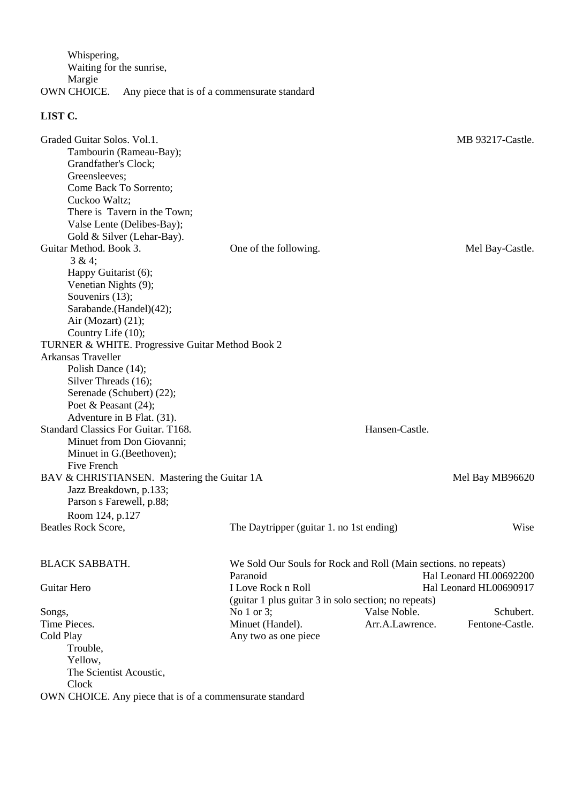Whispering, Waiting for the sunrise, Margie OWN CHOICE. Any piece that is of a commensurate standard

| Graded Guitar Solos. Vol.1.<br>Tambourin (Rameau-Bay);<br>Grandfather's Clock;<br>Greensleeves:<br>Come Back To Sorrento;<br>Cuckoo Waltz;<br>There is Tavern in the Town;<br>Valse Lente (Delibes-Bay); |                                                                             |                 | MB 93217-Castle.       |
|----------------------------------------------------------------------------------------------------------------------------------------------------------------------------------------------------------|-----------------------------------------------------------------------------|-----------------|------------------------|
| Gold & Silver (Lehar-Bay).<br>Guitar Method. Book 3.                                                                                                                                                     | One of the following.                                                       |                 | Mel Bay-Castle.        |
| 3 & 4;<br>Happy Guitarist (6);<br>Venetian Nights (9);<br>Souvenirs (13);<br>Sarabande.(Handel)(42);<br>Air (Mozart) $(21)$ ;<br>Country Life (10);                                                      |                                                                             |                 |                        |
| TURNER & WHITE. Progressive Guitar Method Book 2                                                                                                                                                         |                                                                             |                 |                        |
| <b>Arkansas Traveller</b><br>Polish Dance (14);<br>Silver Threads (16);<br>Serenade (Schubert) (22);<br>Poet & Peasant $(24)$ ;<br>Adventure in B Flat. (31).                                            |                                                                             |                 |                        |
| Standard Classics For Guitar. T168.<br>Minuet from Don Giovanni;<br>Minuet in G. (Beethoven);                                                                                                            |                                                                             | Hansen-Castle.  |                        |
| Five French<br>BAV & CHRISTIANSEN. Mastering the Guitar 1A<br>Jazz Breakdown, p.133;<br>Parson s Farewell, p.88;<br>Room 124, p.127                                                                      |                                                                             |                 | Mel Bay MB96620        |
| Beatles Rock Score,                                                                                                                                                                                      | The Daytripper (guitar 1. no 1st ending)                                    |                 | Wise                   |
| <b>BLACK SABBATH.</b>                                                                                                                                                                                    | We Sold Our Souls for Rock and Roll (Main sections. no repeats)<br>Paranoid |                 | Hal Leonard HL00692200 |
| Guitar Hero                                                                                                                                                                                              | I Love Rock n Roll<br>(guitar 1 plus guitar 3 in solo section; no repeats)  |                 | Hal Leonard HL00690917 |
| Songs,                                                                                                                                                                                                   | No $1$ or $3$ ;                                                             | Valse Noble.    | Schubert.              |
| Time Pieces.                                                                                                                                                                                             | Minuet (Handel).                                                            | Arr.A.Lawrence. | Fentone-Castle.        |
| Cold Play                                                                                                                                                                                                | Any two as one piece                                                        |                 |                        |
| Trouble,                                                                                                                                                                                                 |                                                                             |                 |                        |
| Yellow,                                                                                                                                                                                                  |                                                                             |                 |                        |
| The Scientist Acoustic,                                                                                                                                                                                  |                                                                             |                 |                        |
| Clock                                                                                                                                                                                                    |                                                                             |                 |                        |
| OWN CHOICE. Any piece that is of a commensurate standard                                                                                                                                                 |                                                                             |                 |                        |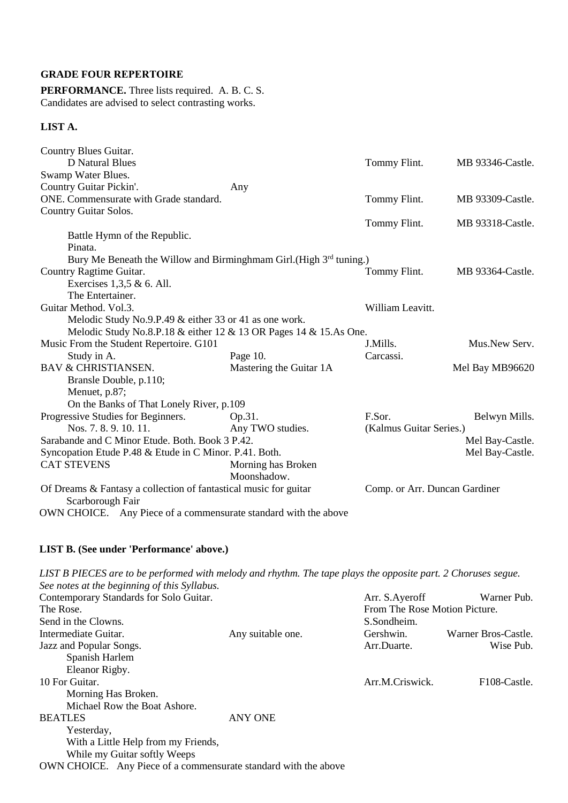#### **GRADE FOUR REPERTOIRE**

**PERFORMANCE.** Three lists required. A. B. C. S. Candidates are advised to select contrasting works.

### **LIST A.**

| Country Blues Guitar.                                                                |                         |                               |                  |
|--------------------------------------------------------------------------------------|-------------------------|-------------------------------|------------------|
| <b>D</b> Natural Blues                                                               |                         | Tommy Flint.                  | MB 93346-Castle. |
| Swamp Water Blues.                                                                   |                         |                               |                  |
| Country Guitar Pickin'.                                                              | Any                     |                               |                  |
| ONE. Commensurate with Grade standard.                                               |                         | Tommy Flint.                  | MB 93309-Castle. |
| Country Guitar Solos.                                                                |                         |                               |                  |
|                                                                                      |                         | Tommy Flint.                  | MB 93318-Castle. |
| Battle Hymn of the Republic.                                                         |                         |                               |                  |
| Pinata.                                                                              |                         |                               |                  |
| Bury Me Beneath the Willow and Birminghmam Girl. (High 3rd tuning.)                  |                         |                               |                  |
| Country Ragtime Guitar.                                                              |                         | Tommy Flint.                  | MB 93364-Castle. |
| Exercises $1,3,5 \& 6$ . All.                                                        |                         |                               |                  |
| The Entertainer.                                                                     |                         |                               |                  |
| Guitar Method. Vol.3.                                                                |                         | William Leavitt.              |                  |
| Melodic Study No.9.P.49 & either 33 or 41 as one work.                               |                         |                               |                  |
| Melodic Study No.8.P.18 & either 12 & 13 OR Pages 14 & 15.As One.                    |                         |                               |                  |
| Music From the Student Repertoire. G101                                              |                         | J.Mills.                      | Mus.New Serv.    |
| Study in A.                                                                          | Page 10.                | Carcassi.                     |                  |
| <b>BAV &amp; CHRISTIANSEN.</b>                                                       | Mastering the Guitar 1A |                               | Mel Bay MB96620  |
| Bransle Double, p.110;                                                               |                         |                               |                  |
| Menuet, p.87;                                                                        |                         |                               |                  |
| On the Banks of That Lonely River, p.109                                             |                         |                               |                  |
| Progressive Studies for Beginners.                                                   | Op.31.                  | F.Sor.                        | Belwyn Mills.    |
| Nos. 7.8.9.10.11.                                                                    | Any TWO studies.        | (Kalmus Guitar Series.)       |                  |
| Sarabande and C Minor Etude. Both. Book 3 P.42.                                      |                         |                               | Mel Bay-Castle.  |
| Syncopation Etude P.48 & Etude in C Minor. P.41. Both.                               |                         |                               | Mel Bay-Castle.  |
| <b>CAT STEVENS</b>                                                                   | Morning has Broken      |                               |                  |
|                                                                                      | Moonshadow.             |                               |                  |
| Of Dreams & Fantasy a collection of fantastical music for guitar<br>Scarborough Fair |                         | Comp. or Arr. Duncan Gardiner |                  |
| OWN CHOICE. Any Piece of a commensurate standard with the above                      |                         |                               |                  |

#### **LIST B. (See under 'Performance' above.)**

*LIST B PIECES are to be performed with melody and rhythm. The tape plays the opposite part. 2 Choruses segue. See notes at the beginning of this Syllabus.*  Arr. S.Ayeroff Warner Pub. From The Rose Motion Picture. Warner Bros-Castle. Wise Pub. Contemporary Standards for Solo Guitar. The Rose. Send in the Clowns. Intermediate Guitar. Any suitable one. Jazz and Popular Songs. Spanish Harlem Eleanor Rigby. 10 For Guitar. S.Sondheim. Gershwin. Arr.Duarte. Arr.M.Criswick. F108-Castle. Morning Has Broken. Michael Row the Boat Ashore. BEATLES ANY ONE Yesterday, With a Little Help from my Friends, While my Guitar softly Weeps

OWN CHOICE. Any Piece of a commensurate standard with the above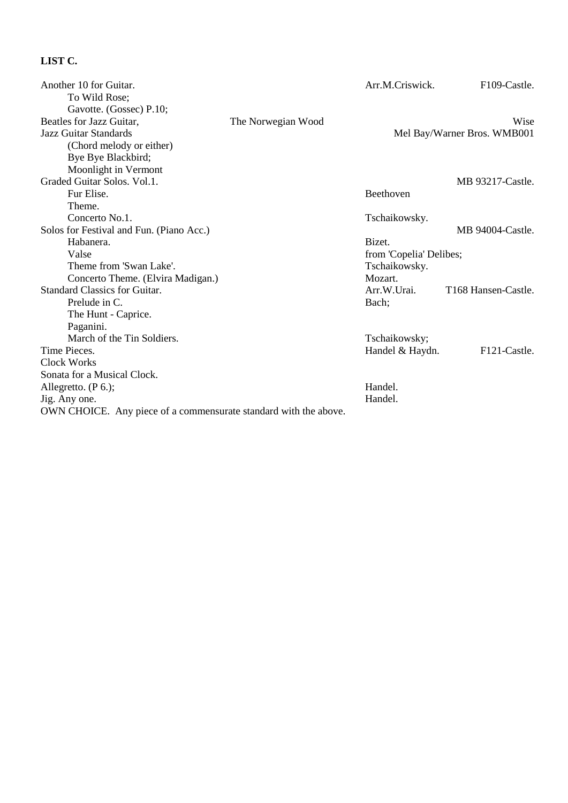| Another 10 for Guitar.                                           |                    | Arr.M.Criswick.         | F109-Castle.                |
|------------------------------------------------------------------|--------------------|-------------------------|-----------------------------|
| To Wild Rose;                                                    |                    |                         |                             |
| Gavotte. (Gossec) P.10;                                          |                    |                         |                             |
| Beatles for Jazz Guitar,                                         | The Norwegian Wood |                         | Wise                        |
| <b>Jazz Guitar Standards</b>                                     |                    |                         | Mel Bay/Warner Bros. WMB001 |
| (Chord melody or either)                                         |                    |                         |                             |
| Bye Bye Blackbird;                                               |                    |                         |                             |
| Moonlight in Vermont                                             |                    |                         |                             |
| Graded Guitar Solos, Vol.1.                                      |                    |                         | MB 93217-Castle.            |
| Fur Elise.                                                       |                    | Beethoven               |                             |
| Theme.                                                           |                    |                         |                             |
| Concerto No.1.                                                   |                    | Tschaikowsky.           |                             |
| Solos for Festival and Fun. (Piano Acc.)                         |                    |                         | MB 94004-Castle.            |
| Habanera.                                                        |                    | Bizet.                  |                             |
| Valse                                                            |                    | from 'Copelia' Delibes; |                             |
| Theme from 'Swan Lake'.                                          |                    | Tschaikowsky.           |                             |
| Concerto Theme. (Elvira Madigan.)                                |                    | Mozart.                 |                             |
| <b>Standard Classics for Guitar.</b>                             |                    | Arr.W.Urai.             | T168 Hansen-Castle.         |
| Prelude in C.                                                    |                    | Bach;                   |                             |
| The Hunt - Caprice.                                              |                    |                         |                             |
| Paganini.                                                        |                    |                         |                             |
| March of the Tin Soldiers.                                       |                    | Tschaikowsky;           |                             |
| Time Pieces.                                                     |                    | Handel & Haydn.         | F121-Castle.                |
| <b>Clock Works</b>                                               |                    |                         |                             |
| Sonata for a Musical Clock.                                      |                    |                         |                             |
| Allegretto. (P 6.);                                              |                    | Handel.                 |                             |
| Jig. Any one.                                                    |                    | Handel.                 |                             |
| OWN CHOICE. Any piece of a commensurate standard with the above. |                    |                         |                             |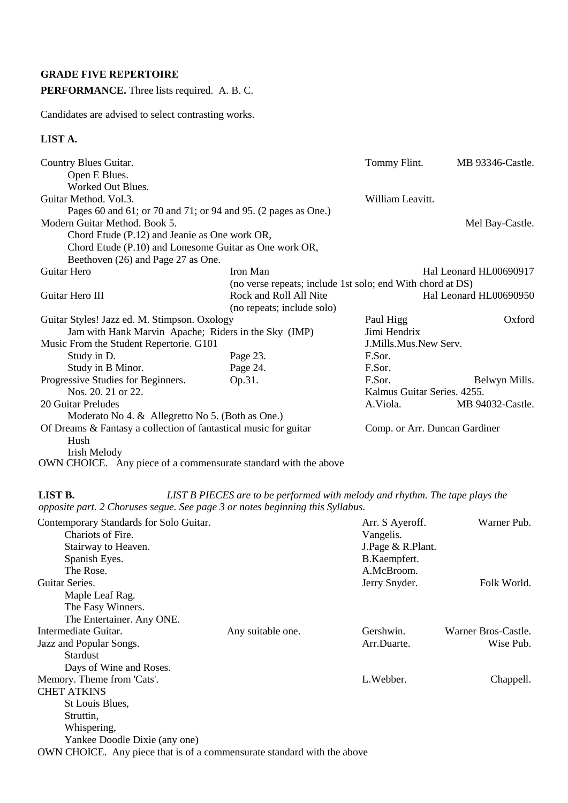## **GRADE FIVE REPERTOIRE**

## **PERFORMANCE.** Three lists required. A. B. C.

Candidates are advised to select contrasting works.

### **LIST A.**

| Country Blues Guitar.                                            |                                                            | Tommy Flint.                  | MB 93346-Castle.       |
|------------------------------------------------------------------|------------------------------------------------------------|-------------------------------|------------------------|
| Open E Blues.                                                    |                                                            |                               |                        |
| Worked Out Blues.                                                |                                                            |                               |                        |
| Guitar Method. Vol.3.                                            |                                                            | William Leavitt.              |                        |
| Pages 60 and 61; or 70 and 71; or 94 and 95. (2 pages as One.)   |                                                            |                               |                        |
| Modern Guitar Method. Book 5.                                    |                                                            |                               | Mel Bay-Castle.        |
| Chord Etude (P.12) and Jeanie as One work OR,                    |                                                            |                               |                        |
| Chord Etude (P.10) and Lonesome Guitar as One work OR,           |                                                            |                               |                        |
| Beethoven (26) and Page 27 as One.                               |                                                            |                               |                        |
| Guitar Hero                                                      | Iron Man                                                   |                               | Hal Leonard HL00690917 |
|                                                                  | (no verse repeats; include 1st solo; end With chord at DS) |                               |                        |
| Guitar Hero III                                                  | Rock and Roll All Nite                                     |                               | Hal Leonard HL00690950 |
|                                                                  | (no repeats; include solo)                                 |                               |                        |
| Guitar Styles! Jazz ed. M. Stimpson. Oxology                     |                                                            | Paul Higg                     | Oxford                 |
| Jam with Hank Marvin Apache; Riders in the Sky (IMP)             |                                                            | Jimi Hendrix                  |                        |
| Music From the Student Repertorie. G101                          |                                                            | J.Mills.Mus.New Serv.         |                        |
| Study in D.                                                      | Page 23.                                                   | F.Sor.                        |                        |
| Study in B Minor.                                                | Page 24.                                                   | F.Sor.                        |                        |
| Progressive Studies for Beginners.                               | Op.31.                                                     | F.Sor.                        | Belwyn Mills.          |
| Nos. 20, 21 or 22.                                               |                                                            | Kalmus Guitar Series, 4255.   |                        |
| 20 Guitar Preludes                                               |                                                            | A.Viola.                      | MB 94032-Castle.       |
| Moderato No 4. & Allegretto No 5. (Both as One.)                 |                                                            |                               |                        |
| Of Dreams & Fantasy a collection of fantastical music for guitar |                                                            | Comp. or Arr. Duncan Gardiner |                        |
| Hush                                                             |                                                            |                               |                        |
| Irish Melody                                                     |                                                            |                               |                        |

OWN CHOICE. Any piece of a commensurate standard with the above

### **LIST B.** *LIST B PIECES are to be performed with melody and rhythm. The tape plays the opposite part. 2 Choruses segue. See page 3 or notes beginning this Syllabus.*

| Contemporary Standards for Solo Guitar.                                 |                   | Arr. S Ayeroff.   | Warner Pub.         |
|-------------------------------------------------------------------------|-------------------|-------------------|---------------------|
| Chariots of Fire.                                                       |                   | Vangelis.         |                     |
| Stairway to Heaven.                                                     |                   | J.Page & R.Plant. |                     |
| Spanish Eyes.                                                           |                   | B.Kaempfert.      |                     |
| The Rose.                                                               |                   | A.McBroom.        |                     |
| Guitar Series.                                                          |                   | Jerry Snyder.     | Folk World.         |
| Maple Leaf Rag.                                                         |                   |                   |                     |
| The Easy Winners.                                                       |                   |                   |                     |
| The Entertainer. Any ONE.                                               |                   |                   |                     |
| Intermediate Guitar.                                                    | Any suitable one. | Gershwin.         | Warner Bros-Castle. |
| Jazz and Popular Songs.                                                 |                   | Arr.Duarte.       | Wise Pub.           |
| <b>Stardust</b>                                                         |                   |                   |                     |
| Days of Wine and Roses.                                                 |                   |                   |                     |
| Memory. Theme from 'Cats'.                                              |                   | L.Webber.         | Chappell.           |
| <b>CHET ATKINS</b>                                                      |                   |                   |                     |
| St Louis Blues,                                                         |                   |                   |                     |
| Struttin,                                                               |                   |                   |                     |
| Whispering,                                                             |                   |                   |                     |
| Yankee Doodle Dixie (any one)                                           |                   |                   |                     |
| OWN CHOICE. Any piece that is of a commensurate standard with the above |                   |                   |                     |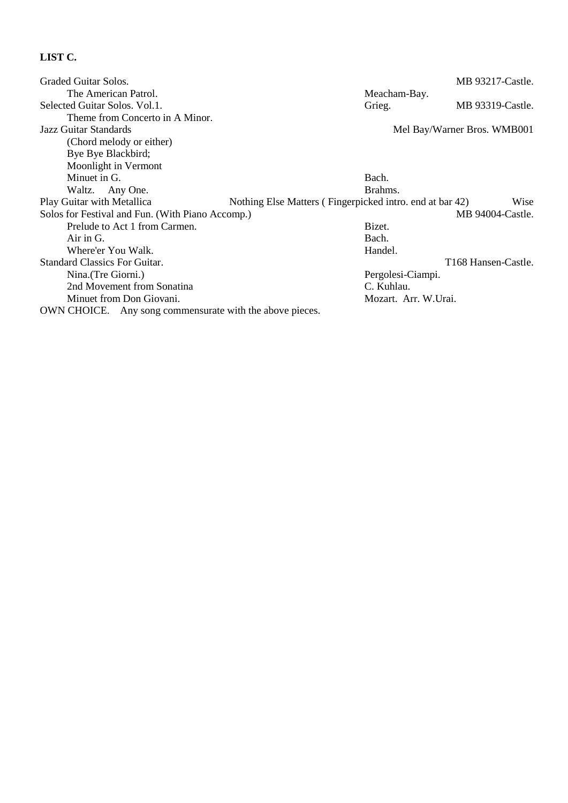| Graded Guitar Solos.                             |                                                          | MB 93217-Castle.                |
|--------------------------------------------------|----------------------------------------------------------|---------------------------------|
| The American Patrol.                             | Meacham-Bay.                                             |                                 |
| Selected Guitar Solos. Vol.1.                    | Grieg.                                                   | MB 93319-Castle.                |
| Theme from Concerto in A Minor.                  |                                                          |                                 |
| Jazz Guitar Standards                            | Mel Bay/Warner Bros. WMB001                              |                                 |
| (Chord melody or either)                         |                                                          |                                 |
| Bye Bye Blackbird;                               |                                                          |                                 |
| Moonlight in Vermont                             |                                                          |                                 |
| Minuet in G.                                     | Bach.                                                    |                                 |
| Waltz. Any One.                                  | Brahms.                                                  |                                 |
| Play Guitar with Metallica                       | Nothing Else Matters (Fingerpicked intro. end at bar 42) | Wise                            |
| Solos for Festival and Fun. (With Piano Accomp.) |                                                          | MB 94004-Castle.                |
| Prelude to Act 1 from Carmen.                    | Bizet.                                                   |                                 |
| $Air$ in $G$ .                                   | Bach.                                                    |                                 |
| Where'er You Walk.                               | Handel.                                                  |                                 |
| <b>Standard Classics For Guitar.</b>             |                                                          | T <sub>168</sub> Hansen-Castle. |
| Nina. (Tre Giorni.)                              | Pergolesi-Ciampi.                                        |                                 |
| 2nd Movement from Sonatina                       | C. Kuhlau.                                               |                                 |
|                                                  |                                                          |                                 |
| Minuet from Don Giovani.                         | Mozart. Arr. W.Urai.                                     |                                 |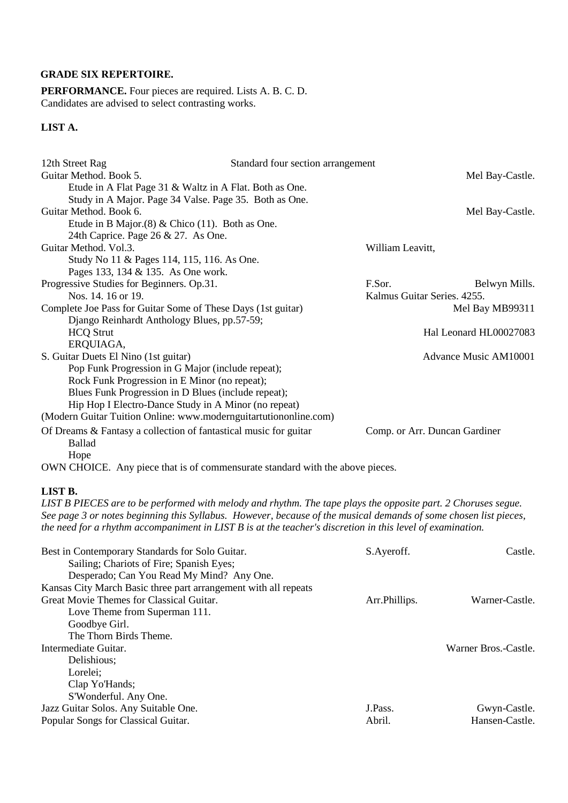## **GRADE SIX REPERTOIRE.**

**PERFORMANCE.** Four pieces are required. Lists A. B. C. D. Candidates are advised to select contrasting works.

## **LIST A.**

| 12th Street Rag                                                               | Standard four section arrangement |                  |                               |
|-------------------------------------------------------------------------------|-----------------------------------|------------------|-------------------------------|
| Guitar Method. Book 5.                                                        |                                   |                  | Mel Bay-Castle.               |
| Etude in A Flat Page 31 & Waltz in A Flat. Both as One.                       |                                   |                  |                               |
| Study in A Major. Page 34 Valse. Page 35. Both as One.                        |                                   |                  |                               |
| Guitar Method. Book 6.                                                        |                                   |                  | Mel Bay-Castle.               |
| Etude in B Major. $(8)$ & Chico $(11)$ . Both as One.                         |                                   |                  |                               |
| 24th Caprice. Page 26 & 27. As One.                                           |                                   |                  |                               |
| Guitar Method. Vol.3.                                                         |                                   | William Leavitt, |                               |
| Study No 11 & Pages 114, 115, 116. As One.                                    |                                   |                  |                               |
| Pages 133, 134 & 135. As One work.                                            |                                   |                  |                               |
| Progressive Studies for Beginners. Op.31.                                     |                                   | F.Sor.           | Belwyn Mills.                 |
| Nos. 14. 16 or 19.                                                            |                                   |                  | Kalmus Guitar Series. 4255.   |
| Complete Joe Pass for Guitar Some of These Days (1st guitar)                  |                                   |                  | Mel Bay MB99311               |
| Django Reinhardt Anthology Blues, pp.57-59;                                   |                                   |                  |                               |
| <b>HCQ Strut</b>                                                              |                                   |                  | Hal Leonard HL00027083        |
| ERQUIAGA,                                                                     |                                   |                  |                               |
| S. Guitar Duets El Nino (1st guitar)                                          |                                   |                  | Advance Music AM10001         |
| Pop Funk Progression in G Major (include repeat);                             |                                   |                  |                               |
| Rock Funk Progression in E Minor (no repeat);                                 |                                   |                  |                               |
| Blues Funk Progression in D Blues (include repeat);                           |                                   |                  |                               |
| Hip Hop I Electro-Dance Study in A Minor (no repeat)                          |                                   |                  |                               |
| (Modern Guitar Tuition Online: www.modernguitartutiononline.com)              |                                   |                  |                               |
| Of Dreams & Fantasy a collection of fantastical music for guitar              |                                   |                  | Comp. or Arr. Duncan Gardiner |
| <b>Ballad</b>                                                                 |                                   |                  |                               |
| Hope                                                                          |                                   |                  |                               |
| OWN CHOICE. Any piece that is of commensurate standard with the above pieces. |                                   |                  |                               |

#### **LIST B.**

*LIST B PIECES are to be performed with melody and rhythm. The tape plays the opposite part. 2 Choruses segue. See page 3 or notes beginning this Syllabus. However, because of the musical demands of some chosen list pieces, the need for a rhythm accompaniment in LIST B is at the teacher's discretion in this level of examination.* 

| Best in Contemporary Standards for Solo Guitar.                 | S.Ayeroff.     | Castle.              |
|-----------------------------------------------------------------|----------------|----------------------|
| Sailing; Chariots of Fire; Spanish Eyes;                        |                |                      |
| Desperado; Can You Read My Mind? Any One.                       |                |                      |
| Kansas City March Basic three part arrangement with all repeats |                |                      |
| Great Movie Themes for Classical Guitar.                        | Arr. Phillips. | Warner-Castle.       |
| Love Theme from Superman 111.                                   |                |                      |
| Goodbye Girl.                                                   |                |                      |
| The Thorn Birds Theme.                                          |                |                      |
| Intermediate Guitar.                                            |                | Warner Bros.-Castle. |
| Delishious:                                                     |                |                      |
| Lorelei:                                                        |                |                      |
| Clap Yo'Hands;                                                  |                |                      |
| S'Wonderful. Any One.                                           |                |                      |
| Jazz Guitar Solos. Any Suitable One.                            | J.Pass.        | Gwyn-Castle.         |
| Popular Songs for Classical Guitar.                             | Abril.         | Hansen-Castle.       |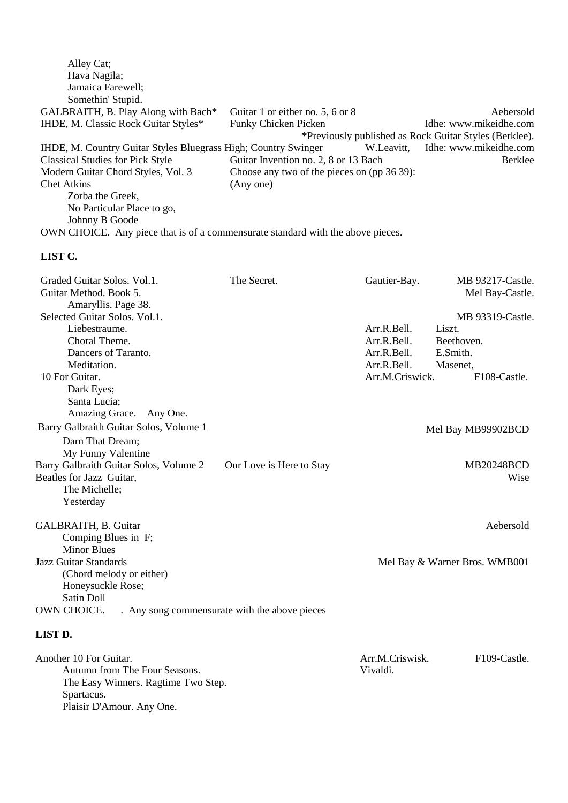| Guitar 1 or either no. 5, 6 or 8                                                | Aebersold                                              |
|---------------------------------------------------------------------------------|--------------------------------------------------------|
| <b>Funky Chicken Picken</b>                                                     | Idhe: www.mikeidhe.com                                 |
|                                                                                 |                                                        |
| IHDE, M. Country Guitar Styles Bluegrass High; Country Swinger<br>W.Leavitt,    | Idhe: www.mikeidhe.com                                 |
| Guitar Invention no. 2, 8 or 13 Bach                                            | Berklee                                                |
| Choose any two of the pieces on (pp 36 39):                                     |                                                        |
| (Any one)                                                                       |                                                        |
|                                                                                 |                                                        |
|                                                                                 |                                                        |
|                                                                                 |                                                        |
| OWN CHOICE. Any piece that is of a commensurate standard with the above pieces. |                                                        |
|                                                                                 | *Previously published as Rock Guitar Styles (Berklee). |

| Graded Guitar Solos. Vol.1.<br>Guitar Method. Book 5.<br>Amaryllis. Page 38. | The Secret.                                   | Gautier-Bay.    | MB 93217-Castle.<br>Mel Bay-Castle. |
|------------------------------------------------------------------------------|-----------------------------------------------|-----------------|-------------------------------------|
| Selected Guitar Solos, Vol.1.                                                |                                               |                 | MB 93319-Castle.                    |
| Liebestraume.                                                                |                                               | Arr.R.Bell.     | Liszt.                              |
| Choral Theme.                                                                |                                               | Arr.R.Bell.     | Beethoven.                          |
| Dancers of Taranto.                                                          |                                               | Arr.R.Bell.     | E.Smith.                            |
| Meditation.                                                                  |                                               | Arr.R.Bell.     | Masenet,                            |
| 10 For Guitar.                                                               |                                               | Arr.M.Criswick. | F <sub>108</sub> -Castle.           |
| Dark Eyes;                                                                   |                                               |                 |                                     |
| Santa Lucia;                                                                 |                                               |                 |                                     |
| Amazing Grace. Any One.                                                      |                                               |                 |                                     |
| Barry Galbraith Guitar Solos, Volume 1                                       |                                               |                 | Mel Bay MB99902BCD                  |
| Darn That Dream;                                                             |                                               |                 |                                     |
| My Funny Valentine                                                           |                                               |                 |                                     |
| Barry Galbraith Guitar Solos, Volume 2                                       | Our Love is Here to Stay                      |                 | <b>MB20248BCD</b>                   |
| Beatles for Jazz Guitar,                                                     |                                               |                 | Wise                                |
| The Michelle;                                                                |                                               |                 |                                     |
| Yesterday                                                                    |                                               |                 |                                     |
| GALBRAITH, B. Guitar                                                         |                                               |                 | Aebersold                           |
| Comping Blues in F;                                                          |                                               |                 |                                     |
| <b>Minor Blues</b>                                                           |                                               |                 |                                     |
| Jazz Guitar Standards                                                        |                                               |                 | Mel Bay & Warner Bros. WMB001       |
| (Chord melody or either)                                                     |                                               |                 |                                     |
| Honeysuckle Rose;                                                            |                                               |                 |                                     |
| Satin Doll                                                                   |                                               |                 |                                     |
| OWN CHOICE.                                                                  | . Any song commensurate with the above pieces |                 |                                     |
| <b>LIST D.</b>                                                               |                                               |                 |                                     |

| Another 10 For Guitar.              | Arr M.Criswisk. | F <sub>109</sub> -Castle. |
|-------------------------------------|-----------------|---------------------------|
| Autumn from The Four Seasons.       | Vivaldi.        |                           |
| The Easy Winners. Ragtime Two Step. |                 |                           |
| Spartacus.                          |                 |                           |
| Plaisir D'Amour. Any One.           |                 |                           |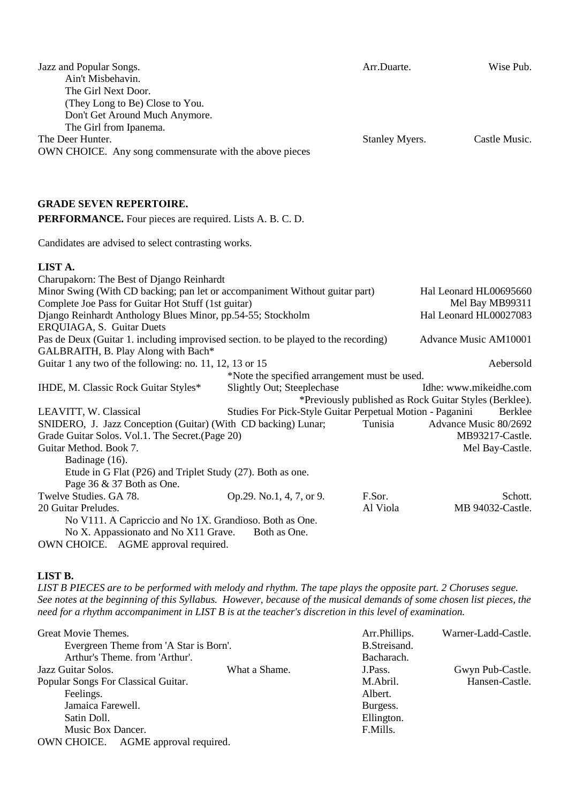| Jazz and Popular Songs.<br>Ain't Misbehavin.<br>The Girl Next Door.<br>(They Long to Be) Close to You.<br>Don't Get Around Much Anymore.<br>The Girl from Ipanema. |                                                           | Arr.Duarte.    | Wise Pub.                                              |
|--------------------------------------------------------------------------------------------------------------------------------------------------------------------|-----------------------------------------------------------|----------------|--------------------------------------------------------|
| The Deer Hunter.<br>OWN CHOICE. Any song commensurate with the above pieces                                                                                        |                                                           | Stanley Myers. | Castle Music.                                          |
| <b>GRADE SEVEN REPERTOIRE.</b>                                                                                                                                     |                                                           |                |                                                        |
| <b>PERFORMANCE.</b> Four pieces are required. Lists A. B. C. D.                                                                                                    |                                                           |                |                                                        |
| Candidates are advised to select contrasting works.                                                                                                                |                                                           |                |                                                        |
| LIST A.                                                                                                                                                            |                                                           |                |                                                        |
| Charupakorn: The Best of Django Reinhardt                                                                                                                          |                                                           |                |                                                        |
| Minor Swing (With CD backing; pan let or accompaniment Without guitar part)                                                                                        |                                                           |                | Hal Leonard HL00695660                                 |
| Complete Joe Pass for Guitar Hot Stuff (1st guitar)                                                                                                                |                                                           |                | Mel Bay MB99311                                        |
| Django Reinhardt Anthology Blues Minor, pp.54-55; Stockholm<br>ERQUIAGA, S. Guitar Duets                                                                           |                                                           |                | Hal Leonard HL00027083                                 |
| Pas de Deux (Guitar 1. including improvised section. to be played to the recording)                                                                                |                                                           |                | Advance Music AM10001                                  |
| GALBRAITH, B. Play Along with Bach*                                                                                                                                |                                                           |                |                                                        |
| Guitar 1 any two of the following: no. 11, 12, 13 or 15                                                                                                            |                                                           |                | Aebersold                                              |
|                                                                                                                                                                    | *Note the specified arrangement must be used.             |                |                                                        |
| IHDE, M. Classic Rock Guitar Styles*                                                                                                                               | Slightly Out; Steeplechase                                |                | Idhe: www.mikeidhe.com                                 |
|                                                                                                                                                                    |                                                           |                | *Previously published as Rock Guitar Styles (Berklee). |
| LEAVITT, W. Classical                                                                                                                                              | Studies For Pick-Style Guitar Perpetual Motion - Paganini |                | Berklee                                                |
| SNIDERO, J. Jazz Conception (Guitar) (With CD backing) Lunar;                                                                                                      |                                                           | Tunisia        | Advance Music 80/2692<br>MB93217-Castle.               |
| Grade Guitar Solos. Vol.1. The Secret. (Page 20)<br>Guitar Method. Book 7.                                                                                         |                                                           |                | Mel Bay-Castle.                                        |
| Badinage (16).                                                                                                                                                     |                                                           |                |                                                        |
| Etude in G Flat (P26) and Triplet Study (27). Both as one.                                                                                                         |                                                           |                |                                                        |
| Page 36 & 37 Both as One.                                                                                                                                          |                                                           |                |                                                        |
| Twelve Studies. GA 78.                                                                                                                                             | Op.29. No.1, 4, 7, or 9.                                  | F.Sor.         | Schott.                                                |
| 20 Guitar Preludes.                                                                                                                                                |                                                           | Al Viola       | MB 94032-Castle.                                       |
| No V111. A Capriccio and No 1X. Grandioso. Both as One.                                                                                                            |                                                           |                |                                                        |
| No X. Appassionato and No X11 Grave.                                                                                                                               | Both as One.                                              |                |                                                        |
| OWN CHOICE. AGME approval required.                                                                                                                                |                                                           |                |                                                        |

#### **LIST B.**

*LIST B PIECES are to be performed with melody and rhythm. The tape plays the opposite part. 2 Choruses segue. See notes at the beginning of this Syllabus. However, because of the musical demands of some chosen list pieces, the need for a rhythm accompaniment in LIST B is at the teacher's discretion in this level of examination.* 

| Great Movie Themes.                    |               | Arr.Phillips. | Warner-Ladd-Castle. |
|----------------------------------------|---------------|---------------|---------------------|
| Evergreen Theme from 'A Star is Born'. |               | B.Streisand.  |                     |
| Arthur's Theme. from 'Arthur'.         |               | Bacharach.    |                     |
| Jazz Guitar Solos.                     | What a Shame. | J.Pass.       | Gwyn Pub-Castle.    |
| Popular Songs For Classical Guitar.    |               | M.Abril.      | Hansen-Castle.      |
| Feelings.                              |               | Albert.       |                     |
| Jamaica Farewell.                      |               | Burgess.      |                     |
| Satin Doll.                            |               | Ellington.    |                     |
| Music Box Dancer.                      |               | F.Mills.      |                     |
| AGME approval required.<br>OWN CHOICE. |               |               |                     |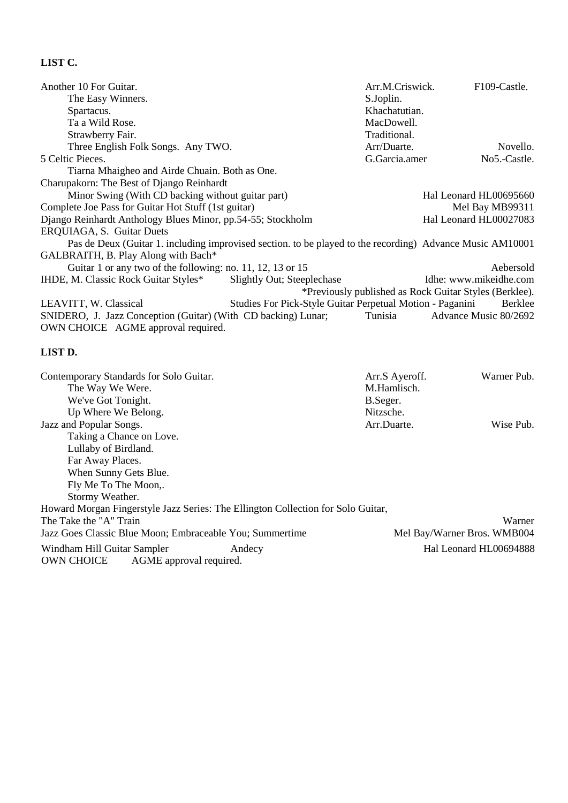| Another 10 For Guitar.                                                                                    |                                                           | Arr.M.Criswick. | F109-Castle.                                           |
|-----------------------------------------------------------------------------------------------------------|-----------------------------------------------------------|-----------------|--------------------------------------------------------|
| The Easy Winners.                                                                                         |                                                           | S.Joplin.       |                                                        |
| Spartacus.                                                                                                |                                                           | Khachatutian.   |                                                        |
| Ta a Wild Rose.                                                                                           |                                                           | MacDowell.      |                                                        |
| Strawberry Fair.                                                                                          |                                                           | Traditional.    |                                                        |
| Three English Folk Songs. Any TWO.                                                                        |                                                           | Arr/Duarte.     | Novello.                                               |
| 5 Celtic Pieces.                                                                                          |                                                           | G.Garcia.amer   | No5.-Castle.                                           |
| Tiarna Mhaigheo and Airde Chuain. Both as One.                                                            |                                                           |                 |                                                        |
| Charupakorn: The Best of Django Reinhardt                                                                 |                                                           |                 |                                                        |
| Minor Swing (With CD backing without guitar part)                                                         |                                                           |                 | Hal Leonard HL00695660                                 |
| Complete Joe Pass for Guitar Hot Stuff (1st guitar)                                                       |                                                           |                 | Mel Bay MB99311                                        |
| Django Reinhardt Anthology Blues Minor, pp.54-55; Stockholm                                               |                                                           |                 | Hal Leonard HL00027083                                 |
| ERQUIAGA, S. Guitar Duets                                                                                 |                                                           |                 |                                                        |
| Pas de Deux (Guitar 1. including improvised section. to be played to the recording) Advance Music AM10001 |                                                           |                 |                                                        |
| GALBRAITH, B. Play Along with Bach*                                                                       |                                                           |                 |                                                        |
| Guitar 1 or any two of the following: no. 11, 12, 13 or 15                                                |                                                           |                 | Aebersold                                              |
| IHDE, M. Classic Rock Guitar Styles*                                                                      | Slightly Out; Steeplechase                                |                 | Idhe: www.mikeidhe.com                                 |
|                                                                                                           |                                                           |                 | *Previously published as Rock Guitar Styles (Berklee). |
| LEAVITT, W. Classical                                                                                     | Studies For Pick-Style Guitar Perpetual Motion - Paganini |                 | Berklee                                                |
| SNIDERO, J. Jazz Conception (Guitar) (With CD backing) Lunar;                                             |                                                           | Tunisia         | Advance Music 80/2692                                  |
| OWN CHOICE AGME approval required.                                                                        |                                                           |                 |                                                        |
|                                                                                                           |                                                           |                 |                                                        |
| LIST D.                                                                                                   |                                                           |                 |                                                        |

#### Contemporary Standards for Solo Guitar. Arr.S Ayeroff. Warner Pub. The Way We Were. M.Hamlisch. We've Got Tonight. B.Seger. Up Where We Belong. Nitzsche.<br>
Mitzsche.<br>
Arr. Duarte.<br>
Arr. Duarte. Jazz and Popular Songs. Arr.Duarte. Wise Pub. Taking a Chance on Love. Lullaby of Birdland. Far Away Places. When Sunny Gets Blue. Fly Me To The Moon,. Stormy Weather. Howard Morgan Fingerstyle Jazz Series: The Ellington Collection for Solo Guitar, The Take the "A" Train Warner Jazz Goes Classic Blue Moon; Embraceable You; Summertime Mel Bay/Warner Bros. WMB004 Windham Hill Guitar Sampler Andecy Hal Leonard HL00694888<br>
OWN CHOICE AGME approval required. AGME approval required.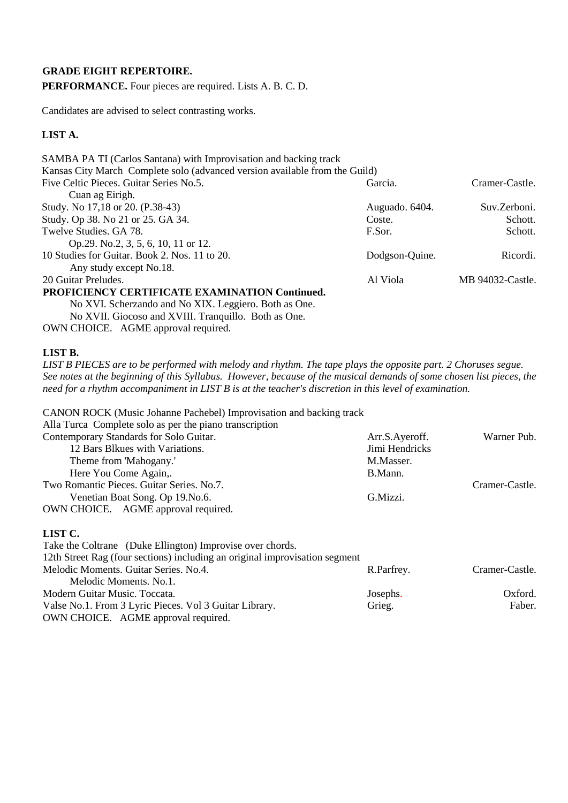### **GRADE EIGHT REPERTOIRE.**

**PERFORMANCE.** Four pieces are required. Lists A. B. C. D.

Candidates are advised to select contrasting works.

## **LIST A.**

| SAMBA PA TI (Carlos Santana) with Improvisation and backing track                                                                                                                                                                                                                                                                                                        |                |                  |
|--------------------------------------------------------------------------------------------------------------------------------------------------------------------------------------------------------------------------------------------------------------------------------------------------------------------------------------------------------------------------|----------------|------------------|
| Kansas City March Complete solo (advanced version available from the Guild)                                                                                                                                                                                                                                                                                              |                |                  |
| Five Celtic Pieces. Guitar Series No.5.                                                                                                                                                                                                                                                                                                                                  | Garcia.        | Cramer-Castle.   |
| Cuan ag Eirigh.                                                                                                                                                                                                                                                                                                                                                          |                |                  |
| Study. No 17,18 or 20. (P.38-43)                                                                                                                                                                                                                                                                                                                                         | Auguado. 6404. | Suv.Zerboni.     |
| Study. Op 38. No 21 or 25. GA 34.                                                                                                                                                                                                                                                                                                                                        | Coste.         | Schott.          |
| Twelve Studies. GA 78.                                                                                                                                                                                                                                                                                                                                                   | F.Sor.         | Schott.          |
| Op.29. No.2, 3, 5, 6, 10, 11 or 12.                                                                                                                                                                                                                                                                                                                                      |                |                  |
| 10 Studies for Guitar. Book 2. Nos. 11 to 20.                                                                                                                                                                                                                                                                                                                            | Dodgson-Quine. | Ricordi.         |
| Any study except No.18.                                                                                                                                                                                                                                                                                                                                                  |                |                  |
| 20 Guitar Preludes.                                                                                                                                                                                                                                                                                                                                                      | Al Viola       | MB 94032-Castle. |
| PROFICIENCY CERTIFICATE EXAMINATION Continued.                                                                                                                                                                                                                                                                                                                           |                |                  |
| $\mathbf{M}$ $\mathbf{V}\mathbf{U}\mathbf{H}$ at $\mathbf{M}$ $\mathbf{M}$ $\mathbf{V}\mathbf{I}\mathbf{V}$ $\mathbf{V}\mathbf{I}$ $\mathbf{V}\mathbf{I}$ $\mathbf{V}\mathbf{I}$ $\mathbf{V}\mathbf{I}$ $\mathbf{V}\mathbf{V}$ $\mathbf{V}\mathbf{I}$ $\mathbf{V}\mathbf{V}$ $\mathbf{V}\mathbf{V}$ $\mathbf{V}\mathbf{V}$ $\mathbf{V}\mathbf{V}$ $\mathbf{V}\mathbf{V}$ |                |                  |

No XVI. Scherzando and No XIX. Leggiero. Both as One. No XVII. Giocoso and XVIII. Tranquillo. Both as One. OWN CHOICE. AGME approval required.

#### **LIST B.**

*LIST B PIECES are to be performed with melody and rhythm. The tape plays the opposite part. 2 Choruses segue. See notes at the beginning of this Syllabus. However, because of the musical demands of some chosen list pieces, the need for a rhythm accompaniment in LIST B is at the teacher's discretion in this level of examination.* 

|  |  | CANON ROCK (Music Johanne Pachebel) Improvisation and backing track |  |
|--|--|---------------------------------------------------------------------|--|
|--|--|---------------------------------------------------------------------|--|

| Alla Turca Complete solo as per the piano transcription |                |                |
|---------------------------------------------------------|----------------|----------------|
| Contemporary Standards for Solo Guitar.                 | Arr.S.Ayeroff. | Warner Pub.    |
| 12 Bars Blkues with Variations.                         | Jimi Hendricks |                |
| Theme from 'Mahogany.'                                  | M.Masser.      |                |
| Here You Come Again,.                                   | B.Mann.        |                |
| Two Romantic Pieces. Guitar Series. No.7.               |                | Cramer-Castle. |
| Venetian Boat Song. Op 19. No. 6.                       | G.Mizzi.       |                |
| OWN CHOICE. AGME approval required.                     |                |                |
|                                                         |                |                |

#### **LIST C.**

Take the Coltrane (Duke Ellington) Improvise over chords.

12th Street Rag (four sections) including an original improvisation segment

| Melodic Moments. Guitar Series. No.4.                  | R.Parfrey. | Cramer-Castle. |
|--------------------------------------------------------|------------|----------------|
| Melodic Moments. No.1.                                 |            |                |
| Modern Guitar Music. Toccata.                          | Josephs.   | Oxford.        |
| Valse No.1. From 3 Lyric Pieces. Vol 3 Guitar Library. | Grieg.     | Faber.         |
| OWN CHOICE. AGME approval required.                    |            |                |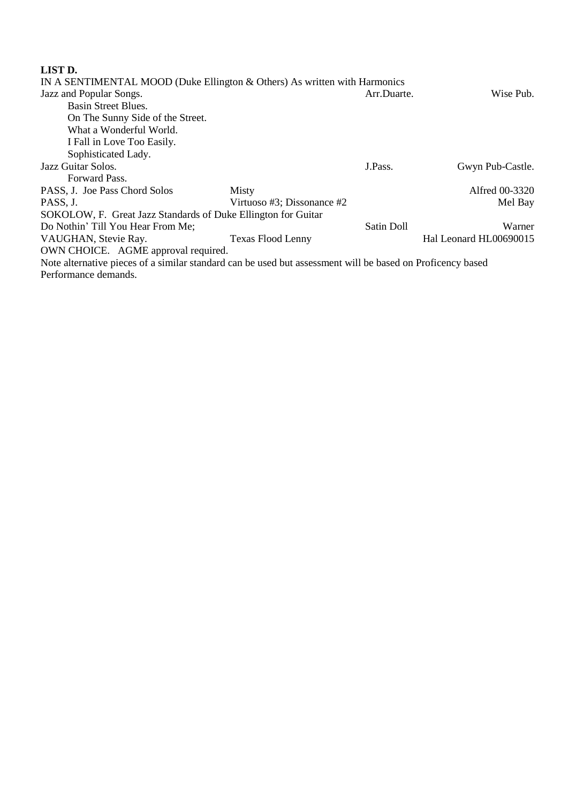## **LIST D.**

| IN A SENTIMENTAL MOOD (Duke Ellington & Others) As written with Harmonics                                  |                            |             |                        |
|------------------------------------------------------------------------------------------------------------|----------------------------|-------------|------------------------|
| Jazz and Popular Songs.                                                                                    |                            | Arr.Duarte. | Wise Pub.              |
| Basin Street Blues.                                                                                        |                            |             |                        |
| On The Sunny Side of the Street.                                                                           |                            |             |                        |
| What a Wonderful World.                                                                                    |                            |             |                        |
| I Fall in Love Too Easily.                                                                                 |                            |             |                        |
| Sophisticated Lady.                                                                                        |                            |             |                        |
| Jazz Guitar Solos.                                                                                         |                            | J.Pass.     | Gwyn Pub-Castle.       |
| Forward Pass.                                                                                              |                            |             |                        |
| PASS, J. Joe Pass Chord Solos                                                                              | Misty                      |             | Alfred 00-3320         |
| PASS, J.                                                                                                   | Virtuoso #3; Dissonance #2 |             | Mel Bay                |
| SOKOLOW, F. Great Jazz Standards of Duke Ellington for Guitar                                              |                            |             |                        |
| Do Nothin' Till You Hear From Me;                                                                          |                            | Satin Doll  | Warner                 |
| VAUGHAN, Stevie Ray.                                                                                       | <b>Texas Flood Lenny</b>   |             | Hal Leonard HL00690015 |
| OWN CHOICE. AGME approval required.                                                                        |                            |             |                        |
| Note alternative pieces of a similar standard can be used but assessment will be based on Proficency based |                            |             |                        |
| Performance demands.                                                                                       |                            |             |                        |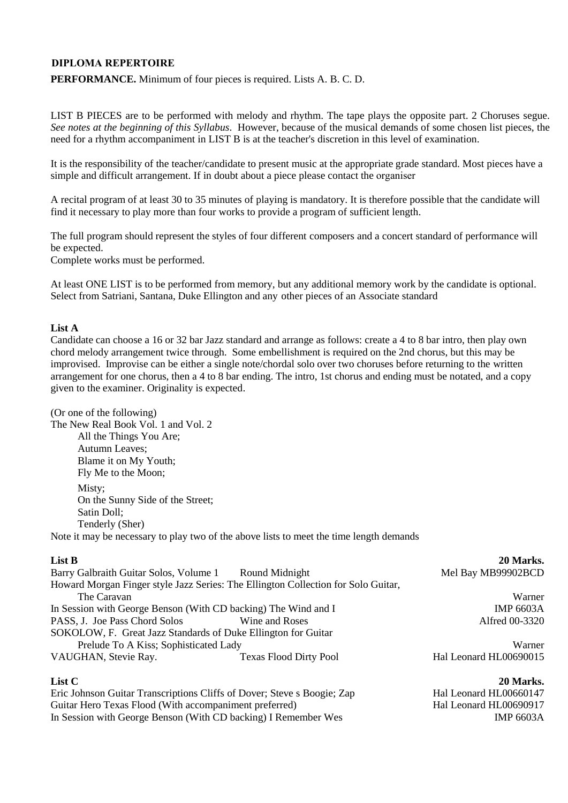## **DIPLOMA REPERTOIRE**

**PERFORMANCE.** Minimum of four pieces is required. Lists A. B. C. D.

LIST B PIECES are to be performed with melody and rhythm. The tape plays the opposite part. 2 Choruses segue. *See notes at the beginning of this Syllabus*. However, because of the musical demands of some chosen list pieces, the need for a rhythm accompaniment in LIST B is at the teacher's discretion in this level of examination.

It is the responsibility of the teacher/candidate to present music at the appropriate grade standard. Most pieces have a simple and difficult arrangement. If in doubt about a piece please contact the organiser

A recital program of at least 30 to 35 minutes of playing is mandatory. It is therefore possible that the candidate will find it necessary to play more than four works to provide a program of sufficient length.

The full program should represent the styles of four different composers and a concert standard of performance will be expected.

Complete works must be performed.

At least ONE LIST is to be performed from memory, but any additional memory work by the candidate is optional. Select from Satriani, Santana, Duke Ellington and any other pieces of an Associate standard

#### **List A**

Candidate can choose a 16 or 32 bar Jazz standard and arrange as follows: create a 4 to 8 bar intro, then play own chord melody arrangement twice through. Some embellishment is required on the 2nd chorus, but this may be improvised. Improvise can be either a single note/chordal solo over two choruses before returning to the written arrangement for one chorus, then a 4 to 8 bar ending. The intro, 1st chorus and ending must be notated, and a copy given to the examiner. Originality is expected.

| (Or one of the following)                                                               |
|-----------------------------------------------------------------------------------------|
| The New Real Book Vol. 1 and Vol. 2                                                     |
| All the Things You Are;                                                                 |
| <b>Autumn Leaves</b> ;                                                                  |
| Blame it on My Youth;                                                                   |
| Fly Me to the Moon;                                                                     |
| Misty;                                                                                  |
| On the Sunny Side of the Street;                                                        |
| Satin Doll;                                                                             |
| Tenderly (Sher)                                                                         |
| Note it may be necessary to play two of the above lists to meet the time length demands |

| List B                                                                  |                                                                                   | 20 Marks.              |
|-------------------------------------------------------------------------|-----------------------------------------------------------------------------------|------------------------|
| Barry Galbraith Guitar Solos, Volume 1                                  | Round Midnight                                                                    | Mel Bay MB99902BCD     |
|                                                                         | Howard Morgan Finger style Jazz Series: The Ellington Collection for Solo Guitar, |                        |
| The Caravan                                                             |                                                                                   | Warner                 |
| In Session with George Benson (With CD backing) The Wind and I          |                                                                                   | <b>IMP 6603A</b>       |
| PASS, J. Joe Pass Chord Solos                                           | Wine and Roses                                                                    | Alfred 00-3320         |
| SOKOLOW, F. Great Jazz Standards of Duke Ellington for Guitar           |                                                                                   |                        |
| Prelude To A Kiss; Sophisticated Lady                                   |                                                                                   | Warner                 |
| VAUGHAN, Stevie Ray.                                                    | <b>Texas Flood Dirty Pool</b>                                                     | Hal Leonard HL00690015 |
| List C                                                                  |                                                                                   | 20 Marks.              |
| Eric Johnson Guitar Transcriptions Cliffs of Dover; Steve s Boogie; Zap |                                                                                   | Hal Leonard HL00660147 |

Hal Leonard HL00690917

IMP 6603A

Guitar Hero Texas Flood (With accompaniment preferred) In Session with George Benson (With CD backing) I Remember Wes